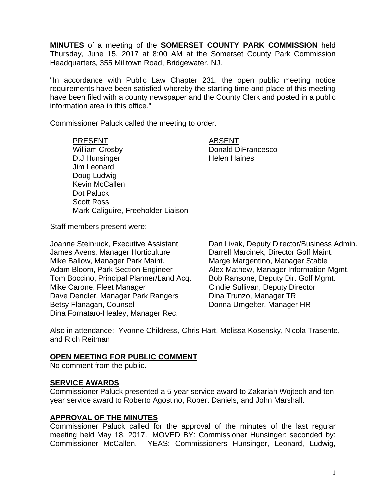**MINUTES** of a meeting of the **SOMERSET COUNTY PARK COMMISSION** held Thursday, June 15, 2017 at 8:00 AM at the Somerset County Park Commission Headquarters, 355 Milltown Road, Bridgewater, NJ.

"In accordance with Public Law Chapter 231, the open public meeting notice requirements have been satisfied whereby the starting time and place of this meeting have been filed with a county newspaper and the County Clerk and posted in a public information area in this office."

Commissioner Paluck called the meeting to order.

PRESENT ABSENT William Crosby **Donald DiFrancesco** D.J Hunsinger **Helen Haines** Jim Leonard Doug Ludwig Kevin McCallen Dot Paluck Scott Ross Mark Caliguire, Freeholder Liaison

Staff members present were:

James Avens, Manager Horticulture **Darrell Marcinek, Director Golf Maint.** Mike Ballow, Manager Park Maint. Marge Marge Margentino, Manager Stable<br>Adam Bloom, Park Section Engineer Alex Mathew, Manager Information I Tom Boccino, Principal Planner/Land Acq. Bob Ransone, Deputy Dir. Golf Mgmt. Mike Carone, Fleet Manager Cindie Sullivan, Deputy Director Dave Dendler, Manager Park Rangers Dina Trunzo, Manager TR Betsy Flanagan, Counsel **Donna Umgelter, Manager HR** Dina Fornataro-Healey, Manager Rec.

Joanne Steinruck, Executive Assistant Dan Livak, Deputy Director/Business Admin. Alex Mathew, Manager Information Mgmt.

Also in attendance: Yvonne Childress, Chris Hart, Melissa Kosensky, Nicola Trasente, and Rich Reitman

## **OPEN MEETING FOR PUBLIC COMMENT**

No comment from the public.

#### **SERVICE AWARDS**

Commissioner Paluck presented a 5-year service award to Zakariah Wojtech and ten year service award to Roberto Agostino, Robert Daniels, and John Marshall.

## **APPROVAL OF THE MINUTES**

Commissioner Paluck called for the approval of the minutes of the last regular meeting held May 18, 2017. MOVED BY: Commissioner Hunsinger; seconded by: Commissioner McCallen. YEAS: Commissioners Hunsinger, Leonard, Ludwig,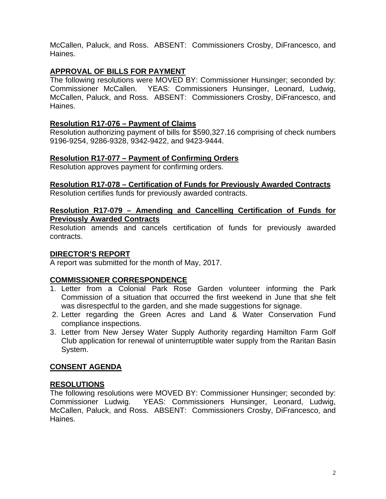McCallen, Paluck, and Ross. ABSENT: Commissioners Crosby, DiFrancesco, and Haines.

# **APPROVAL OF BILLS FOR PAYMENT**

The following resolutions were MOVED BY: Commissioner Hunsinger; seconded by: Commissioner McCallen. YEAS: Commissioners Hunsinger, Leonard, Ludwig, McCallen, Paluck, and Ross. ABSENT: Commissioners Crosby, DiFrancesco, and Haines.

## **Resolution R17-076 – Payment of Claims**

Resolution authorizing payment of bills for \$590,327.16 comprising of check numbers 9196-9254, 9286-9328, 9342-9422, and 9423-9444.

## **Resolution R17-077 – Payment of Confirming Orders**

Resolution approves payment for confirming orders.

# **Resolution R17-078 – Certification of Funds for Previously Awarded Contracts**

Resolution certifies funds for previously awarded contracts.

## **Resolution R17-079 – Amending and Cancelling Certification of Funds for Previously Awarded Contracts**

Resolution amends and cancels certification of funds for previously awarded contracts.

## **DIRECTOR'S REPORT**

A report was submitted for the month of May, 2017.

# **COMMISSIONER CORRESPONDENCE**

- 1. Letter from a Colonial Park Rose Garden volunteer informing the Park Commission of a situation that occurred the first weekend in June that she felt was disrespectful to the garden, and she made suggestions for signage.
- 2. Letter regarding the Green Acres and Land & Water Conservation Fund compliance inspections.
- 3. Letter from New Jersey Water Supply Authority regarding Hamilton Farm Golf Club application for renewal of uninterruptible water supply from the Raritan Basin System.

# **CONSENT AGENDA**

## **RESOLUTIONS**

The following resolutions were MOVED BY: Commissioner Hunsinger; seconded by: Commissioner Ludwig. YEAS: Commissioners Hunsinger, Leonard, Ludwig, McCallen, Paluck, and Ross. ABSENT: Commissioners Crosby, DiFrancesco, and Haines.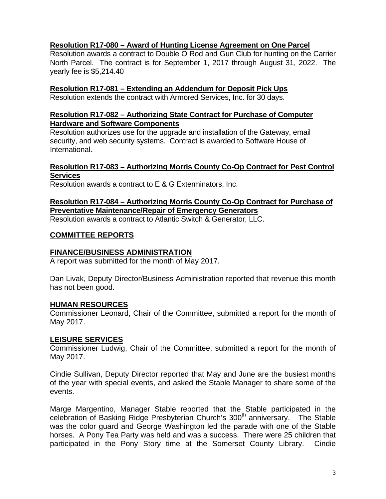## **Resolution R17-080 – Award of Hunting License Agreement on One Parcel**

Resolution awards a contract to Double O Rod and Gun Club for hunting on the Carrier North Parcel. The contract is for September 1, 2017 through August 31, 2022. The yearly fee is \$5,214.40

#### **Resolution R17-081 – Extending an Addendum for Deposit Pick Ups**

Resolution extends the contract with Armored Services, Inc. for 30 days.

#### **Resolution R17-082 – Authorizing State Contract for Purchase of Computer Hardware and Software Components**

Resolution authorizes use for the upgrade and installation of the Gateway, email security, and web security systems. Contract is awarded to Software House of International.

#### **Resolution R17-083 – Authorizing Morris County Co-Op Contract for Pest Control Services**

Resolution awards a contract to E & G Exterminators, Inc.

# **Resolution R17-084 – Authorizing Morris County Co-Op Contract for Purchase of Preventative Maintenance/Repair of Emergency Generators**

Resolution awards a contract to Atlantic Switch & Generator, LLC.

## **COMMITTEE REPORTS**

## **FINANCE/BUSINESS ADMINISTRATION**

A report was submitted for the month of May 2017.

Dan Livak, Deputy Director/Business Administration reported that revenue this month has not been good.

## **HUMAN RESOURCES**

Commissioner Leonard, Chair of the Committee, submitted a report for the month of May 2017.

## **LEISURE SERVICES**

Commissioner Ludwig, Chair of the Committee, submitted a report for the month of May 2017.

Cindie Sullivan, Deputy Director reported that May and June are the busiest months of the year with special events, and asked the Stable Manager to share some of the events.

Marge Margentino, Manager Stable reported that the Stable participated in the celebration of Basking Ridge Presbyterian Church's 300<sup>th</sup> anniversary. The Stable was the color guard and George Washington led the parade with one of the Stable horses. A Pony Tea Party was held and was a success. There were 25 children that participated in the Pony Story time at the Somerset County Library. Cindie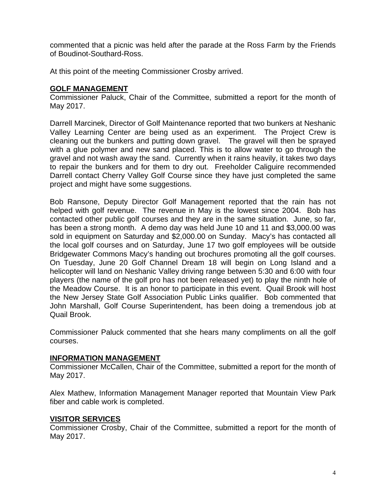commented that a picnic was held after the parade at the Ross Farm by the Friends of Boudinot-Southard-Ross.

At this point of the meeting Commissioner Crosby arrived.

# **GOLF MANAGEMENT**

Commissioner Paluck, Chair of the Committee, submitted a report for the month of May 2017.

Darrell Marcinek, Director of Golf Maintenance reported that two bunkers at Neshanic Valley Learning Center are being used as an experiment. The Project Crew is cleaning out the bunkers and putting down gravel. The gravel will then be sprayed with a glue polymer and new sand placed. This is to allow water to go through the gravel and not wash away the sand. Currently when it rains heavily, it takes two days to repair the bunkers and for them to dry out. Freeholder Caliguire recommended Darrell contact Cherry Valley Golf Course since they have just completed the same project and might have some suggestions.

Bob Ransone, Deputy Director Golf Management reported that the rain has not helped with golf revenue. The revenue in May is the lowest since 2004. Bob has contacted other public golf courses and they are in the same situation. June, so far, has been a strong month. A demo day was held June 10 and 11 and \$3,000.00 was sold in equipment on Saturday and \$2,000.00 on Sunday. Macy's has contacted all the local golf courses and on Saturday, June 17 two golf employees will be outside Bridgewater Commons Macy's handing out brochures promoting all the golf courses. On Tuesday, June 20 Golf Channel Dream 18 will begin on Long Island and a helicopter will land on Neshanic Valley driving range between 5:30 and 6:00 with four players (the name of the golf pro has not been released yet) to play the ninth hole of the Meadow Course. It is an honor to participate in this event. Quail Brook will host the New Jersey State Golf Association Public Links qualifier. Bob commented that John Marshall, Golf Course Superintendent, has been doing a tremendous job at Quail Brook.

Commissioner Paluck commented that she hears many compliments on all the golf courses.

## **INFORMATION MANAGEMENT**

Commissioner McCallen, Chair of the Committee, submitted a report for the month of May 2017.

Alex Mathew, Information Management Manager reported that Mountain View Park fiber and cable work is completed.

## **VISITOR SERVICES**

Commissioner Crosby, Chair of the Committee, submitted a report for the month of May 2017.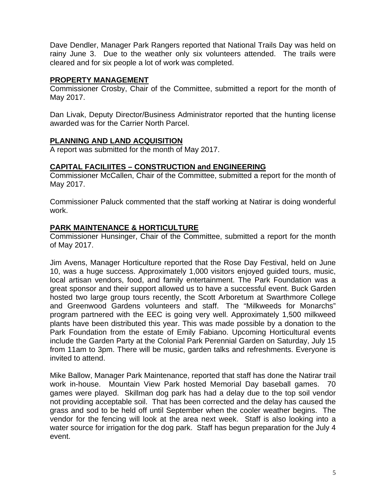Dave Dendler, Manager Park Rangers reported that National Trails Day was held on rainy June 3. Due to the weather only six volunteers attended. The trails were cleared and for six people a lot of work was completed.

## **PROPERTY MANAGEMENT**

Commissioner Crosby, Chair of the Committee, submitted a report for the month of May 2017.

Dan Livak, Deputy Director/Business Administrator reported that the hunting license awarded was for the Carrier North Parcel.

## **PLANNING AND LAND ACQUISITION**

A report was submitted for the month of May 2017.

## **CAPITAL FACILIITES – CONSTRUCTION and ENGINEERING**

Commissioner McCallen, Chair of the Committee, submitted a report for the month of May 2017.

Commissioner Paluck commented that the staff working at Natirar is doing wonderful work.

# **PARK MAINTENANCE & HORTICULTURE**

Commissioner Hunsinger, Chair of the Committee, submitted a report for the month of May 2017.

Jim Avens, Manager Horticulture reported that the Rose Day Festival, held on June 10, was a huge success. Approximately 1,000 visitors enjoyed guided tours, music, local artisan vendors, food, and family entertainment. The Park Foundation was a great sponsor and their support allowed us to have a successful event. Buck Garden hosted two large group tours recently, the Scott Arboretum at Swarthmore College and Greenwood Gardens volunteers and staff. The "Milkweeds for Monarchs" program partnered with the EEC is going very well. Approximately 1,500 milkweed plants have been distributed this year. This was made possible by a donation to the Park Foundation from the estate of Emily Fabiano. Upcoming Horticultural events include the Garden Party at the Colonial Park Perennial Garden on Saturday, July 15 from 11am to 3pm. There will be music, garden talks and refreshments. Everyone is invited to attend.

Mike Ballow, Manager Park Maintenance, reported that staff has done the Natirar trail work in-house. Mountain View Park hosted Memorial Day baseball games. 70 games were played. Skillman dog park has had a delay due to the top soil vendor not providing acceptable soil. That has been corrected and the delay has caused the grass and sod to be held off until September when the cooler weather begins. The vendor for the fencing will look at the area next week. Staff is also looking into a water source for irrigation for the dog park. Staff has begun preparation for the July 4 event.